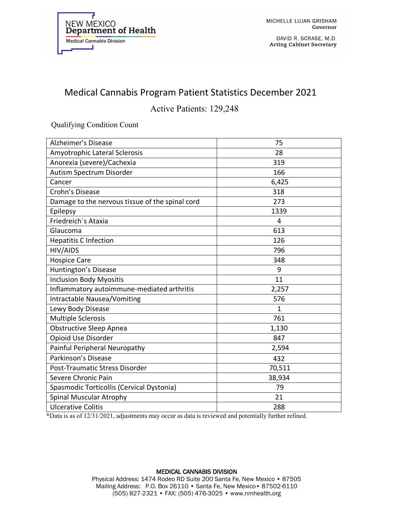

DAVID R. SCRASE, M.D. **Acting Cabinet Secretary** 

## Medical Cannabis Program Patient Statistics December 2021

Active Patients: 129,248

Qualifying Condition Count

| Alzheimer's Disease                             | 75     |
|-------------------------------------------------|--------|
| Amyotrophic Lateral Sclerosis                   | 28     |
| Anorexia (severe)/Cachexia                      | 319    |
| Autism Spectrum Disorder                        | 166    |
| Cancer                                          | 6,425  |
| Crohn's Disease                                 | 318    |
| Damage to the nervous tissue of the spinal cord | 273    |
| Epilepsy                                        | 1339   |
| Friedreich's Ataxia                             | 4      |
| Glaucoma                                        | 613    |
| <b>Hepatitis C Infection</b>                    | 126    |
| HIV/AIDS                                        | 796    |
| <b>Hospice Care</b>                             | 348    |
| Huntington's Disease                            | 9      |
| <b>Inclusion Body Myositis</b>                  | 11     |
| Inflammatory autoimmune-mediated arthritis      | 2,257  |
| Intractable Nausea/Vomiting                     | 576    |
| Lewy Body Disease                               | 1      |
| <b>Multiple Sclerosis</b>                       | 761    |
| <b>Obstructive Sleep Apnea</b>                  | 1,130  |
| Opioid Use Disorder                             | 847    |
| Painful Peripheral Neuropathy                   | 2,594  |
| Parkinson's Disease                             | 432    |
| Post-Traumatic Stress Disorder                  | 70,511 |
| Severe Chronic Pain                             | 38,934 |
| Spasmodic Torticollis (Cervical Dystonia)       | 79     |
| Spinal Muscular Atrophy                         | 21     |
| <b>Ulcerative Colitis</b>                       | 288    |

\*Data is as of 12/31/2021, adjustments may occur as data is reviewed and potentially further refined.

## MEDICAL CANNABIS DIVISION Physical Address: 1474 Rodeo RD Suite 200 Santa Fe, New Mexico • 87505 Mailing Address: P.O. Box 26110 • Santa Fe, New Mexico• 87502-6110 (505) 827-2321 • FAX: (505) 476-3025 • www.nmhealth.org